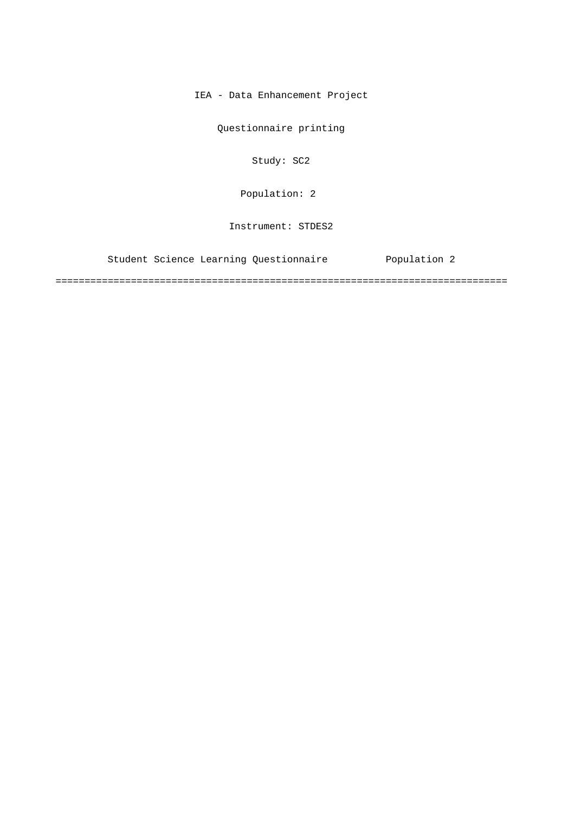IEA - Data Enhancement Project

Questionnaire printing

Study: SC2

Population: 2

Instrument: STDES2

Student Science Learning Questionnaire Population 2

==============================================================================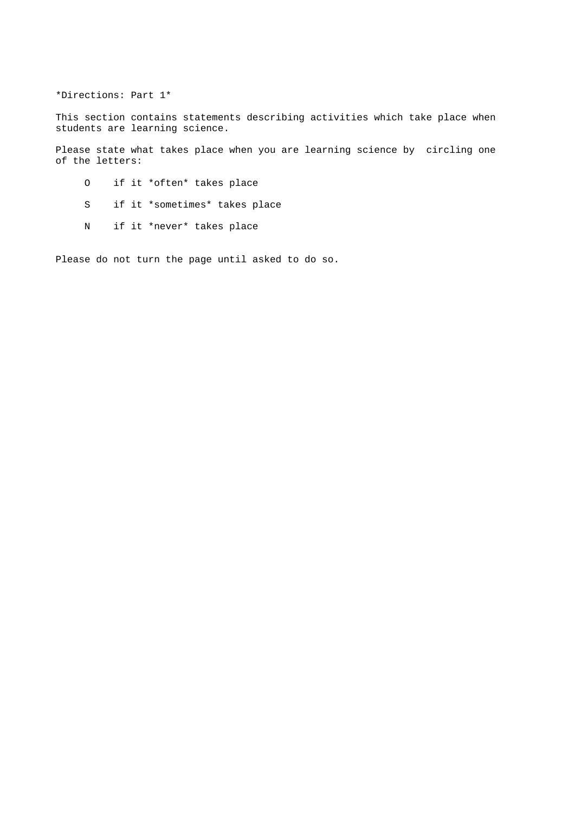\*Directions: Part 1\*

This section contains statements describing activities which take place when students are learning science.

Please state what takes place when you are learning science by circling one of the letters:

- O if it \*often\* takes place
- S if it \*sometimes\* takes place
- N if it \*never\* takes place

Please do not turn the page until asked to do so.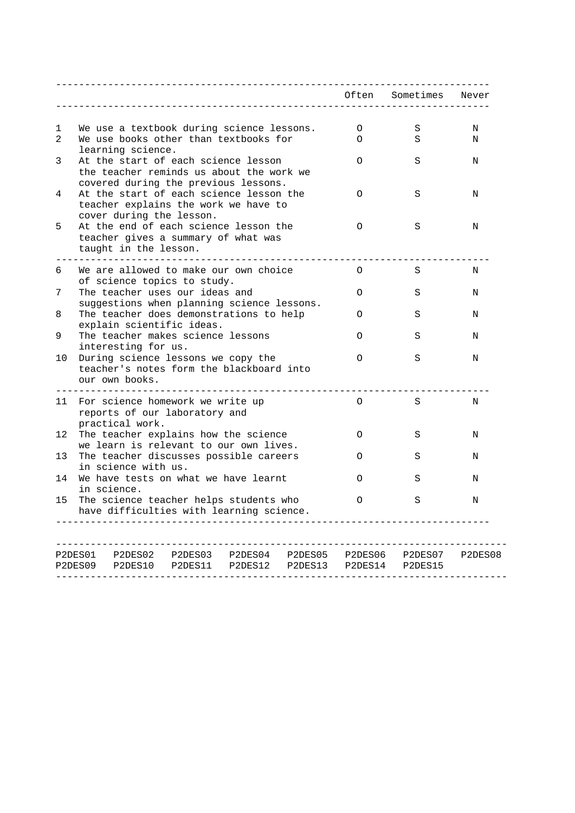|    | __________________________________                                               |          | Often Sometimes Never |         |
|----|----------------------------------------------------------------------------------|----------|-----------------------|---------|
|    |                                                                                  |          |                       |         |
| 1  | We use a textbook during science lessons.                                        | $\circ$  | S                     | Ν       |
| 2  | We use books other than textbooks for<br>learning science.                       | $\Omega$ | S                     | N       |
| 3  | At the start of each science lesson                                              | $\Omega$ | S                     | N       |
|    | the teacher reminds us about the work we                                         |          |                       |         |
|    | covered during the previous lessons.                                             |          |                       |         |
| 4  | At the start of each science lesson the                                          | $\Omega$ | S                     | N       |
|    | teacher explains the work we have to                                             |          |                       |         |
| 5  | cover during the lesson.<br>At the end of each science lesson the                | $\circ$  | S                     | Ν       |
|    | teacher gives a summary of what was                                              |          |                       |         |
|    | taught in the lesson.                                                            |          |                       |         |
| 6  | We are allowed to make our own choice                                            | $\circ$  | S                     | N       |
|    | of science topics to study.                                                      |          |                       |         |
| 7  | The teacher uses our ideas and                                                   | $\Omega$ | S                     | N       |
|    | suggestions when planning science lessons.                                       |          |                       |         |
| 8  | The teacher does demonstrations to help                                          | O        | S                     | N       |
| 9  | explain scientific ideas.<br>The teacher makes science lessons                   | $\Omega$ | S                     | N       |
|    | interesting for us.                                                              |          |                       |         |
| 10 | During science lessons we copy the                                               | 0        | S                     | N       |
|    | teacher's notes form the blackboard into                                         |          |                       |         |
|    | our own books.<br>____________________________                                   |          |                       |         |
| 11 | For science homework we write up                                                 | $\circ$  | S                     | Ν       |
|    | reports of our laboratory and                                                    |          |                       |         |
|    | practical work.                                                                  |          |                       |         |
| 12 | The teacher explains how the science                                             | $\Omega$ | S                     | N       |
| 13 | we learn is relevant to our own lives.<br>The teacher discusses possible careers | O        | S                     | N       |
|    | in science with us.                                                              |          |                       |         |
| 14 | We have tests on what we have learnt                                             | O        | S                     | N       |
|    | in science.                                                                      |          |                       |         |
| 15 | The science teacher helps students who                                           | O        | S                     | N       |
|    | have difficulties with learning science.                                         |          |                       |         |
|    |                                                                                  |          |                       |         |
|    | P2DES01<br>P2DES02<br>P2DES03 P2DES04<br>P2DES05                                 | P2DES06  | P2DES07               | P2DES08 |
|    | P2DES09<br>P2DES10<br>P2DES11<br>P2DES12<br>P2DES13                              | P2DES14  | P2DES15               |         |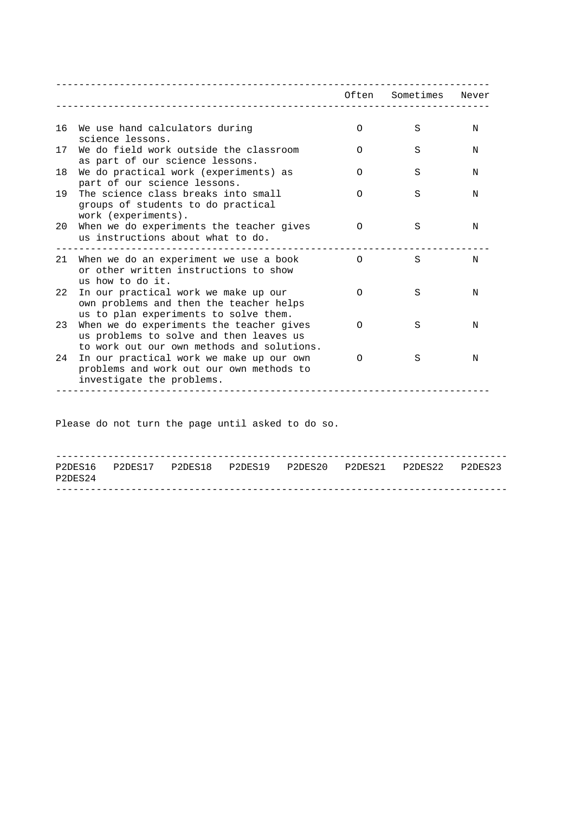| We use hand calculators during<br>16<br>science lessons.                                                                                | $\Omega$ | S | N |
|-----------------------------------------------------------------------------------------------------------------------------------------|----------|---|---|
| We do field work outside the classroom<br>17<br>as part of our science lessons.                                                         | O        | S | N |
| 18<br>We do practical work (experiments) as<br>part of our science lessons.                                                             | ∩        | S | N |
| The science class breaks into small<br>19<br>groups of students to do practical<br>work (experiments).                                  | O        | S | N |
| When we do experiments the teacher gives<br>20<br>us instructions about what to do.                                                     | $\Omega$ | S | N |
| 21<br>When we do an experiment we use a book<br>or other written instructions to show<br>us how to do it.                               | $\Omega$ | S | N |
| In our practical work we make up our<br>22<br>own problems and then the teacher helps<br>us to plan experiments to solve them.          | $\Omega$ | S | N |
| When we do experiments the teacher gives<br>23<br>us problems to solve and then leaves us<br>to work out our own methods and solutions. | ∩        | S | N |
| 24<br>In our practical work we make up our own<br>problems and work out our own methods to<br>investigate the problems.                 | ∩        | S | N |

Please do not turn the page until asked to do so.

| P2DES24 |  |  | P2DES16 P2DES17 P2DES18 P2DES19 P2DES20 P2DES21 P2DES22 P2DES23 |  |
|---------|--|--|-----------------------------------------------------------------|--|
|         |  |  |                                                                 |  |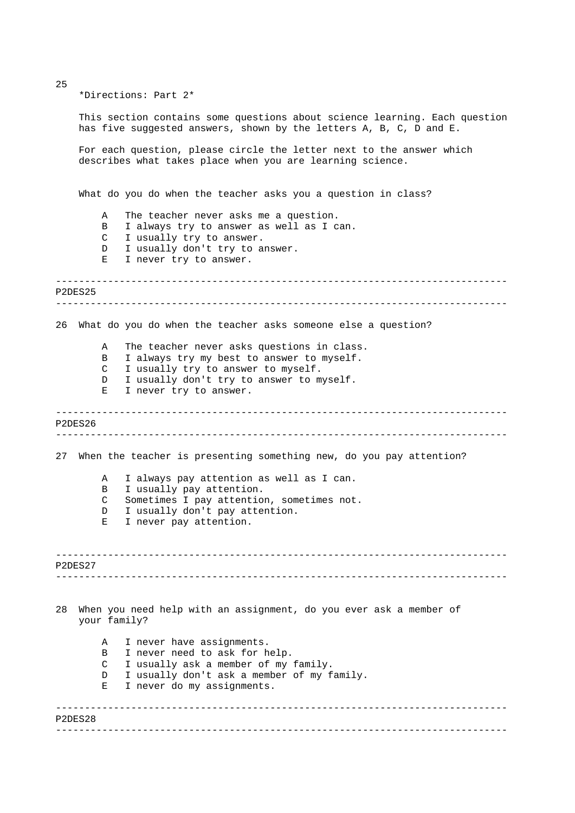\*Directions: Part 2\*

This section contains some questions about science learning. Each question has five suggested answers, shown by the letters A, B, C, D and E.

For each question, please circle the letter next to the answer which describes what takes place when you are learning science.

What do you do when the teacher asks you a question in class?

- A The teacher never asks me a question.
- B I always try to answer as well as I can.
- C I usually try to answer.
- D I usually don't try to answer.
- E I never try to answer.

```
------------------------------------------------------------------------------ 
 ------------------------------------------------------------------------------ 
P2DES25
```
26 What do you do when the teacher asks someone else a question?

A The teacher never asks questions in class.

- B I always try my best to answer to myself.
- C I usually try to answer to myself.
- D I usually don't try to answer to myself.
- E I never try to answer.

------------------------------------------------------------------------------ ------------------------------------------------------------------------------ P2DES26

27 When the teacher is presenting something new, do you pay attention?

- A I always pay attention as well as I can. B I usually pay attention.
- C Sometimes I pay attention, sometimes not.
- D I usually don't pay attention.
- E I never pay attention.

------------------------------------------------------------------------------ ------------------------------------------------------------------------------ P2DES27

------------------------------------------------------------------------------

------------------------------------------------------------------------------

28 When you need help with an assignment, do you ever ask a member of your family?

A I never have assignments. B I never need to ask for help. C I usually ask a member of my family. D I usually don't ask a member of my family. E I never do my assignments.

25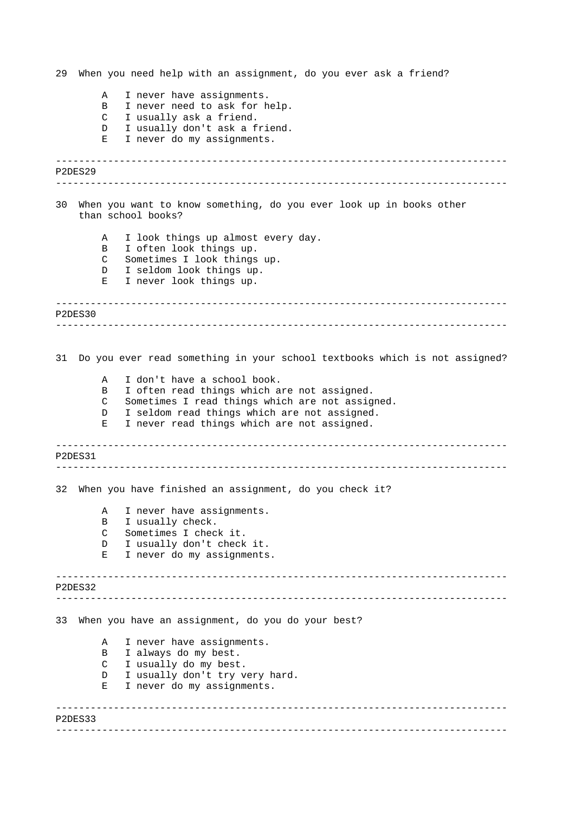------------------------------------------------------------------------------ ------------------------------------------------------------------------------ ------------------------------------------------------------------------------ ------------------------------------------------------------------------------ ------------------------------------------------------------------------------ ------------------------------------------------------------------------------ ------------------------------------------------------------------------------ ------------------------------------------------------------------------------ ------------------------------------------------------------------------------ ------------------------------------------------------------------------------ 29 When you need help with an assignment, do you ever ask a friend? A I never have assignments. B I never need to ask for help. C I usually ask a friend. D I usually don't ask a friend. E I never do my assignments. P2DES29 30 When you want to know something, do you ever look up in books other than school books? A I look things up almost every day. B I often look things up. C Sometimes I look things up. D I seldom look things up. E I never look things up. P2DES30 31 Do you ever read something in your school textbooks which is not assigned? A I don't have a school book. B I often read things which are not assigned. C Sometimes I read things which are not assigned. D I seldom read things which are not assigned. E I never read things which are not assigned. P2DES31 32 When you have finished an assignment, do you check it? A I never have assignments. B I usually check. C Sometimes I check it. D I usually don't check it. E I never do my assignments. P2DES32 33 When you have an assignment, do you do your best? A I never have assignments. B I always do my best. C I usually do my best. D I usually don't try very hard. E I never do my assignments. P2DES33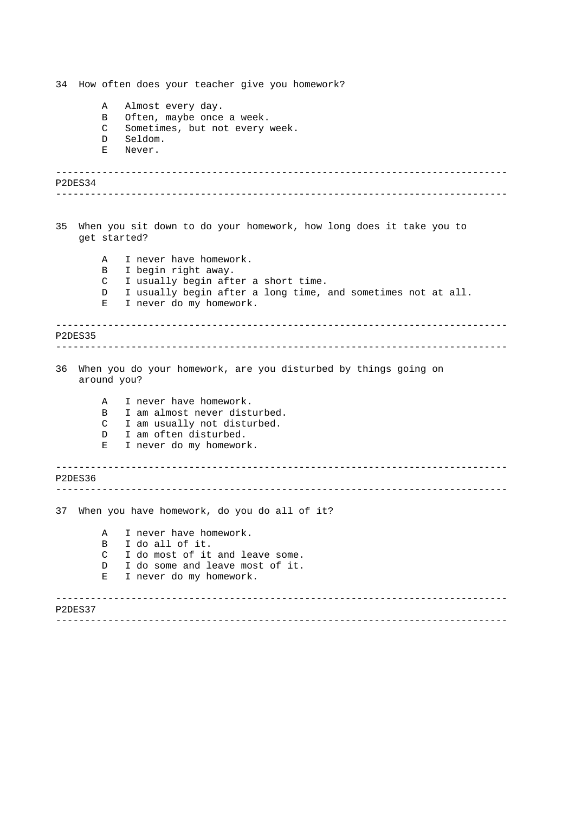------------------------------------------------------------------------------ ------------------------------------------------------------------------------ ------------------------------------------------------------------------------ ------------------------------------------------------------------------------ ------------------------------------------------------------------------------ ------------------------------------------------------------------------------ ------------------------------------------------------------------------------ ------------------------------------------------------------------------------ 34 How often does your teacher give you homework? A Almost every day. B Often, maybe once a week. C Sometimes, but not every week. D Seldom. E Never. P2DES34 35 When you sit down to do your homework, how long does it take you to get started? A I never have homework. B I begin right away. C I usually begin after a short time. D I usually begin after a long time, and sometimes not at all. E I never do my homework. P2DES35 36 When you do your homework, are you disturbed by things going on around you? A I never have homework. B I am almost never disturbed. C I am usually not disturbed. D I am often disturbed. E I never do my homework. P2DES36 37 When you have homework, do you do all of it? A I never have homework. B I do all of it. C I do most of it and leave some. D I do some and leave most of it. E I never do my homework. P2DES37